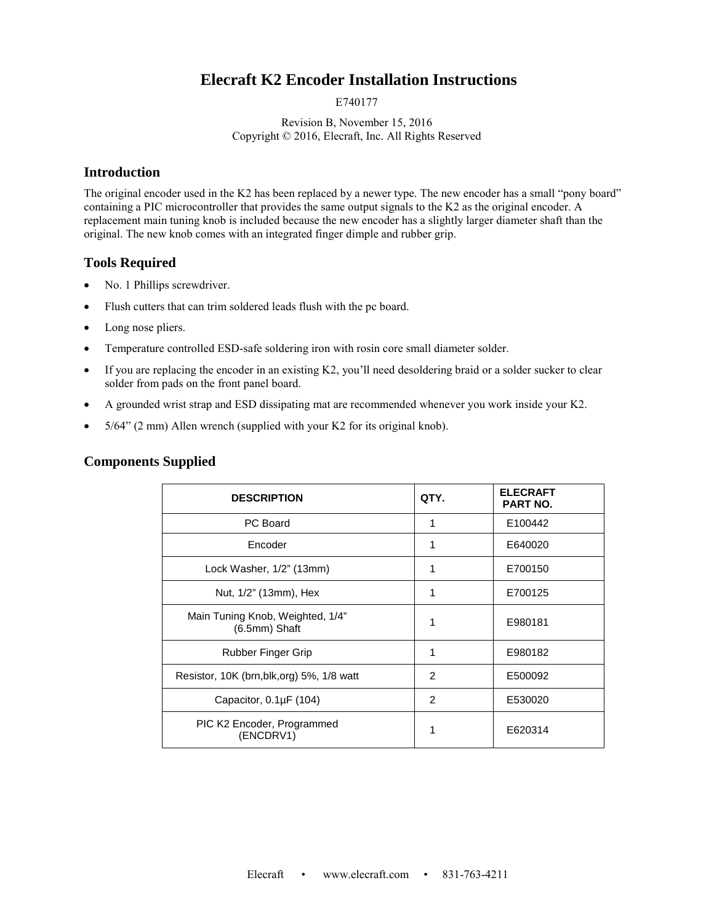# **Elecraft K2 Encoder Installation Instructions**

E740177

Revision B, November 15, 2016 Copyright © 2016, Elecraft, Inc. All Rights Reserved

#### **Introduction**

The original encoder used in the K2 has been replaced by a newer type. The new encoder has a small "pony board" containing a PIC microcontroller that provides the same output signals to the K2 as the original encoder. A replacement main tuning knob is included because the new encoder has a slightly larger diameter shaft than the original. The new knob comes with an integrated finger dimple and rubber grip.

## **Tools Required**

- No. 1 Phillips screwdriver.
- Flush cutters that can trim soldered leads flush with the pc board.
- Long nose pliers.
- Temperature controlled ESD-safe soldering iron with rosin core small diameter solder.
- If you are replacing the encoder in an existing K2, you'll need desoldering braid or a solder sucker to clear solder from pads on the front panel board.
- A grounded wrist strap and ESD dissipating mat are recommended whenever you work inside your K2.
- 5/64" (2 mm) Allen wrench (supplied with your K2 for its original knob).

| <b>DESCRIPTION</b>                                | QTY.           | <b>ELECRAFT</b><br><b>PART NO.</b> |
|---------------------------------------------------|----------------|------------------------------------|
| PC Board                                          | 1              | E100442                            |
| Encoder                                           | 1              | E640020                            |
| Lock Washer, 1/2" (13mm)                          |                | E700150                            |
| Nut, 1/2" (13mm), Hex                             |                | E700125                            |
| Main Tuning Knob, Weighted, 1/4"<br>(6.5mm) Shaft |                | E980181                            |
| Rubber Finger Grip                                | 1              | E980182                            |
| Resistor, 10K (brn, blk, org) 5%, 1/8 watt        | 2              | E500092                            |
| Capacitor, $0.1\mu$ F (104)                       | $\mathfrak{p}$ | E530020                            |
| PIC K2 Encoder, Programmed<br>(ENCDRV1)           |                | E620314                            |

#### **Components Supplied**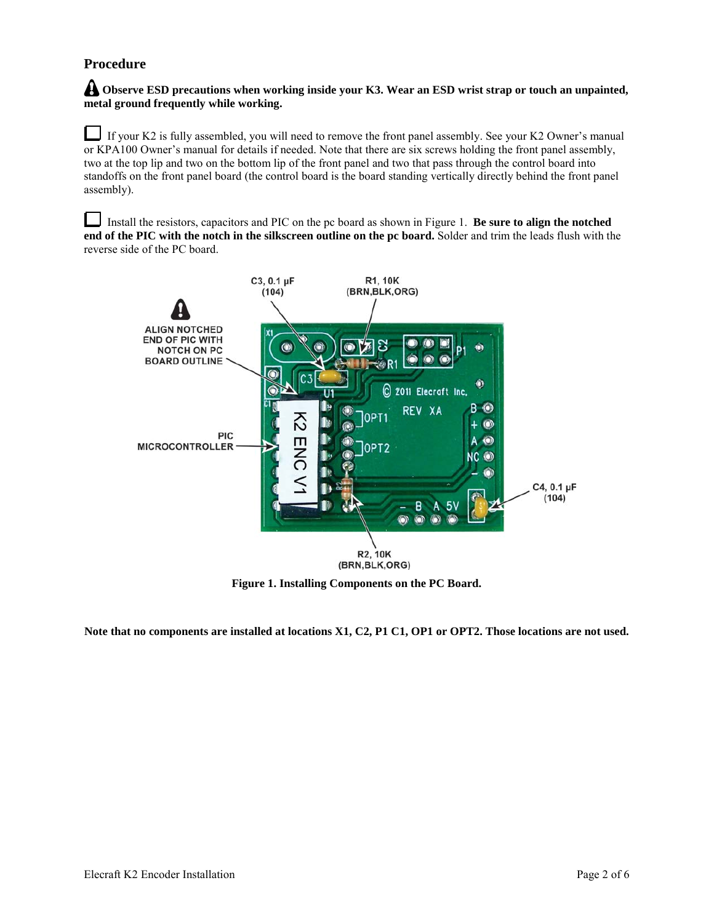# **Procedure**

#### **Observe ESD precautions when working inside your K3. Wear an ESD wrist strap or touch an unpainted, metal ground frequently while working.**

If your K2 is fully assembled, you will need to remove the front panel assembly. See your K2 Owner's manual or KPA100 Owner's manual for details if needed. Note that there are six screws holding the front panel assembly, two at the top lip and two on the bottom lip of the front panel and two that pass through the control board into standoffs on the front panel board (the control board is the board standing vertically directly behind the front panel assembly).

Install the resistors, capacitors and PIC on the pc board as shown i[n Figure 1.](#page-1-0) **Be sure to align the notched end of the PIC with the notch in the silkscreen outline on the pc board.** Solder and trim the leads flush with the reverse side of the PC board.



**Figure 1. Installing Components on the PC Board.**

<span id="page-1-0"></span>**Note that no components are installed at locations X1, C2, P1 C1, OP1 or OPT2. Those locations are not used.**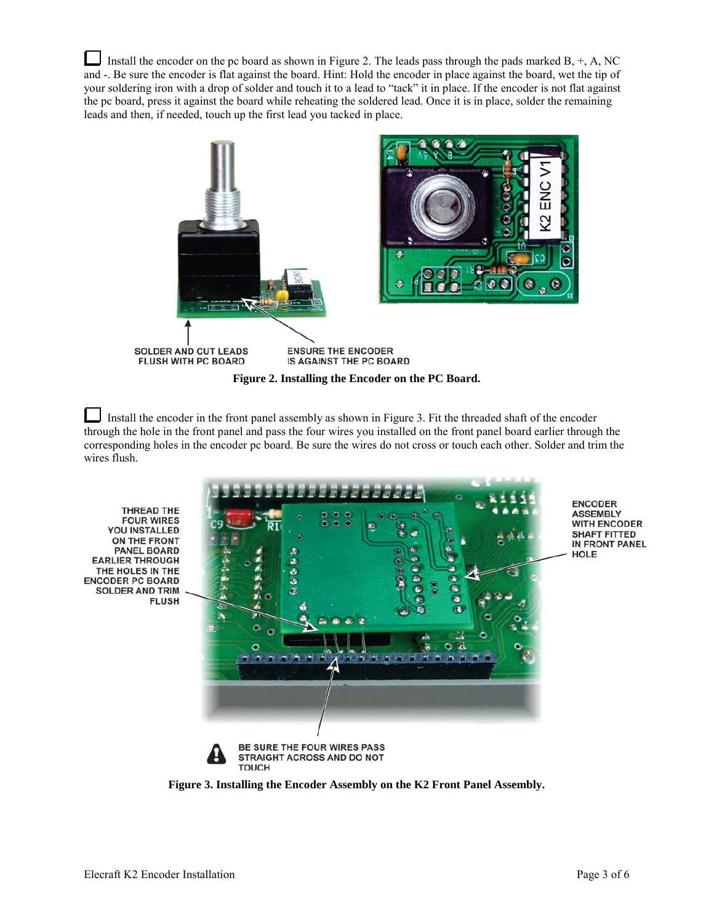Install the encoder on the pc board as shown in [Figure 2.](#page-2-0) The leads pass through the pads marked B, +, A, NC and -. Be sure the encoder is flat against the board. Hint: Hold the encoder in place against the board, wet the tip of your soldering iron with a drop of solder and touch it to a lead to "tack" it in place. If the encoder is not flat against the pc board, press it against the board while reheating the soldered lead. Once it is in place, solder the remaining leads and then, if needed, touch up the first lead you tacked in place.



**Figure 2. Installing the Encoder on the PC Board.**

<span id="page-2-0"></span>Install the encoder in the front panel assembly as shown in [Figure 3.](#page-2-1) Fit the threaded shaft of the encoder through the hole in the front panel and pass the four wires you installed on the front panel board earlier through the corresponding holes in the encoder pc board. Be sure the wires do not cross or touch each other. Solder and trim the wires flush.

<span id="page-2-1"></span>**THREAD THE FOUR WIRES** YOU INSTALLED ON THE FRONT **PANEL BOARD EARLIER THROUGH** THE HOLES IN THE **ENCODER PC BOARD SOLDER AND TRIM FLUSH** 



**Figure 3. Installing the Encoder Assembly on the K2 Front Panel Assembly.**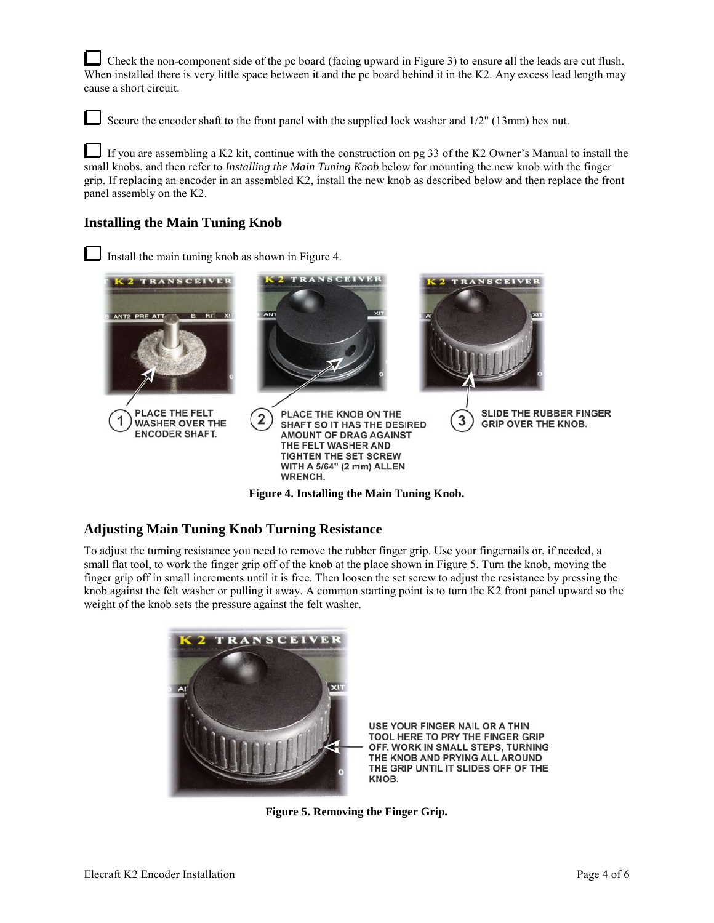Check the non-component side of the pc board (facing upward in [Figure 3\)](#page-2-1) to ensure all the leads are cut flush. When installed there is very little space between it and the pc board behind it in the K2. Any excess lead length may cause a short circuit.

Secure the encoder shaft to the front panel with the supplied lock washer and 1/2" (13mm) hex nut.

If you are assembling a K2 kit, continue with the construction on pg 33 of the K2 Owner's Manual to install the small knobs, and then refer to *Installing the Main Tuning Knob* below for mounting the new knob with the finger grip. If replacing an encoder in an assembled K2, install the new knob as described below and then replace the front panel assembly on the K2.

## **Installing the Main Tuning Knob**

Install the main tuning knob as shown in [Figure 4.](#page-3-0)



#### **Figure 4. Installing the Main Tuning Knob.**

#### <span id="page-3-0"></span>**Adjusting Main Tuning Knob Turning Resistance**

To adjust the turning resistance you need to remove the rubber finger grip. Use your fingernails or, if needed, a small flat tool, to work the finger grip off of the knob at the place shown i[n Figure 5.](#page-3-1) Turn the knob, moving the finger grip off in small increments until it is free. Then loosen the set screw to adjust the resistance by pressing the knob against the felt washer or pulling it away. A common starting point is to turn the K2 front panel upward so the weight of the knob sets the pressure against the felt washer.



USE YOUR FINGER NAIL OR A THIN TOOL HERE TO PRY THE FINGER GRIP OFF. WORK IN SMALL STEPS, TURNING THE KNOB AND PRYING ALL AROUND THE GRIP UNTIL IT SLIDES OFF OF THE KNOB.

<span id="page-3-1"></span>**Figure 5. Removing the Finger Grip.**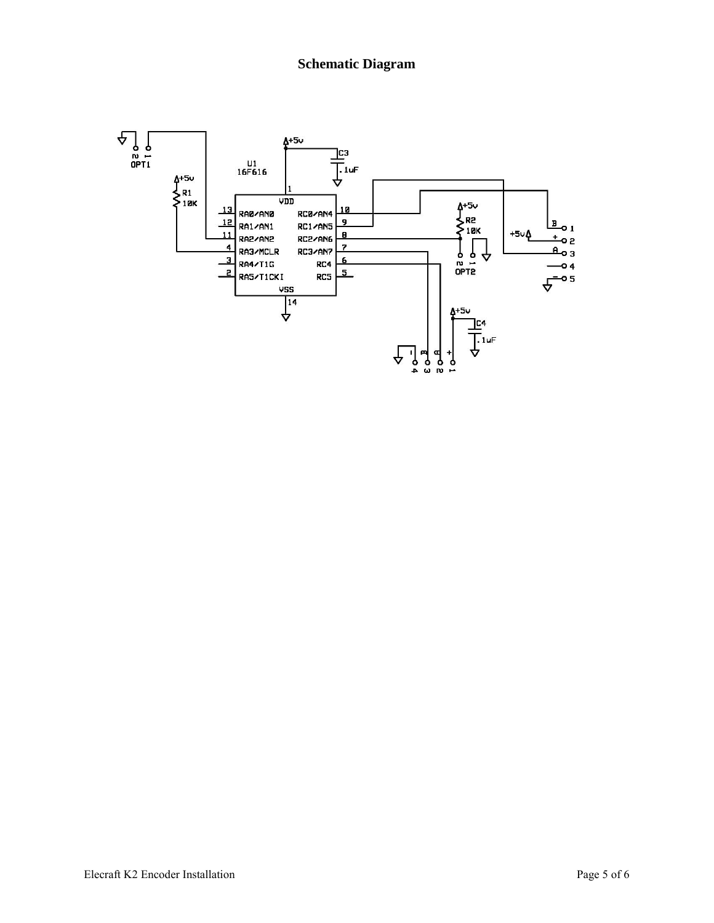